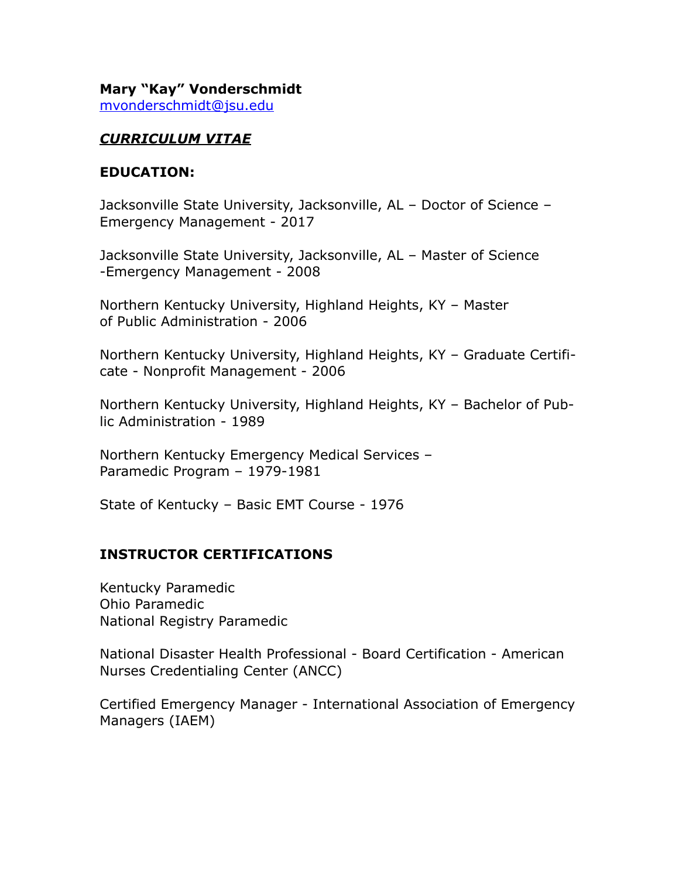#### **Mary "Kay" Vonderschmidt**  [mvonderschmidt@jsu.edu](mailto:mvonderschmidt@jsu.edu)

### *CURRICULUM VITAE*

#### **EDUCATION:**

Jacksonville State University, Jacksonville, AL – Doctor of Science – Emergency Management - 2017

Jacksonville State University, Jacksonville, AL – Master of Science -Emergency Management - 2008

Northern Kentucky University, Highland Heights, KY – Master of Public Administration - 2006

Northern Kentucky University, Highland Heights, KY – Graduate Certificate - Nonprofit Management - 2006

Northern Kentucky University, Highland Heights, KY – Bachelor of Public Administration - 1989

Northern Kentucky Emergency Medical Services – Paramedic Program – 1979-1981

State of Kentucky – Basic EMT Course - 1976

### **INSTRUCTOR CERTIFICATIONS**

Kentucky Paramedic Ohio Paramedic National Registry Paramedic

National Disaster Health Professional - Board Certification - American Nurses Credentialing Center (ANCC)

Certified Emergency Manager - International Association of Emergency Managers (IAEM)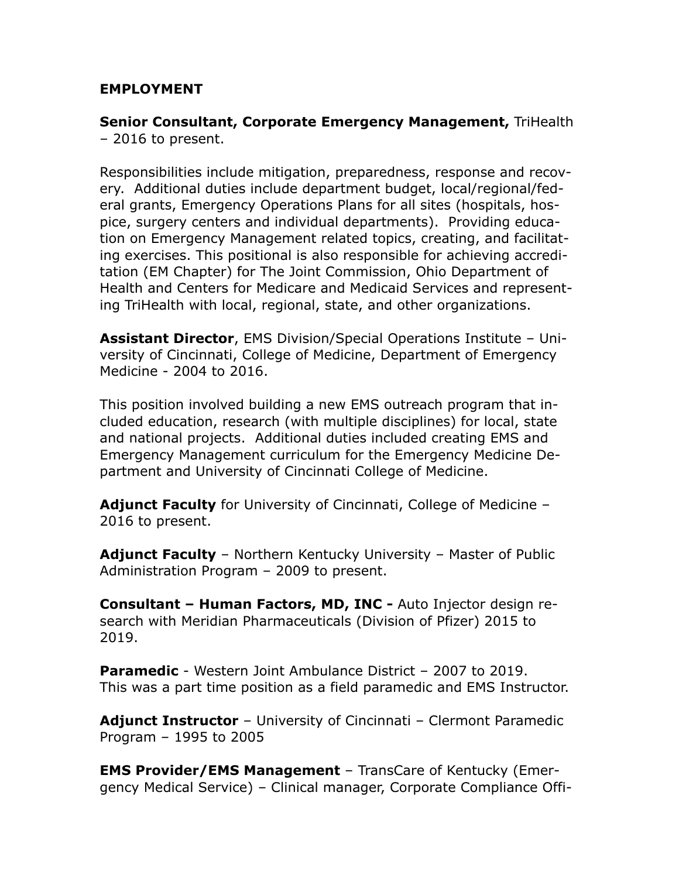### **EMPLOYMENT**

**Senior Consultant, Corporate Emergency Management,** TriHealth – 2016 to present.

Responsibilities include mitigation, preparedness, response and recovery. Additional duties include department budget, local/regional/federal grants, Emergency Operations Plans for all sites (hospitals, hospice, surgery centers and individual departments). Providing education on Emergency Management related topics, creating, and facilitating exercises. This positional is also responsible for achieving accreditation (EM Chapter) for The Joint Commission, Ohio Department of Health and Centers for Medicare and Medicaid Services and representing TriHealth with local, regional, state, and other organizations.

**Assistant Director**, EMS Division/Special Operations Institute – University of Cincinnati, College of Medicine, Department of Emergency Medicine - 2004 to 2016.

This position involved building a new EMS outreach program that included education, research (with multiple disciplines) for local, state and national projects. Additional duties included creating EMS and Emergency Management curriculum for the Emergency Medicine Department and University of Cincinnati College of Medicine.

**Adjunct Faculty** for University of Cincinnati, College of Medicine – 2016 to present.

**Adjunct Faculty** – Northern Kentucky University – Master of Public Administration Program – 2009 to present.

**Consultant – Human Factors, MD, INC -** Auto Injector design research with Meridian Pharmaceuticals (Division of Pfizer) 2015 to 2019.

**Paramedic** - Western Joint Ambulance District – 2007 to 2019. This was a part time position as a field paramedic and EMS Instructor.

**Adjunct Instructor** – University of Cincinnati – Clermont Paramedic Program – 1995 to 2005

**EMS Provider/EMS Management** – TransCare of Kentucky (Emergency Medical Service) – Clinical manager, Corporate Compliance Offi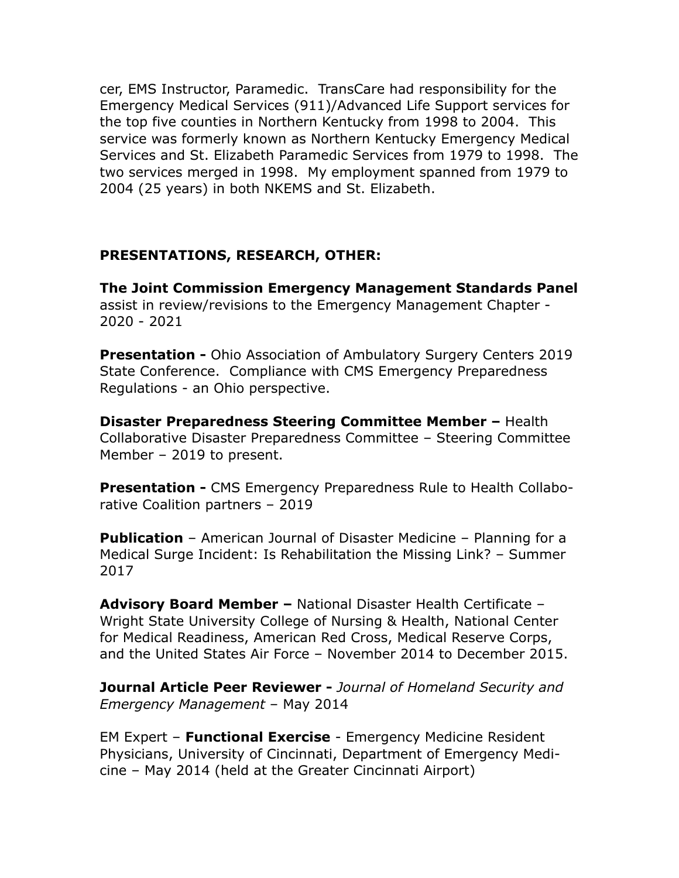cer, EMS Instructor, Paramedic. TransCare had responsibility for the Emergency Medical Services (911)/Advanced Life Support services for the top five counties in Northern Kentucky from 1998 to 2004. This service was formerly known as Northern Kentucky Emergency Medical Services and St. Elizabeth Paramedic Services from 1979 to 1998. The two services merged in 1998. My employment spanned from 1979 to 2004 (25 years) in both NKEMS and St. Elizabeth.

## **PRESENTATIONS, RESEARCH, OTHER:**

**The Joint Commission Emergency Management Standards Panel**  assist in review/revisions to the Emergency Management Chapter - 2020 - 2021

**Presentation -** Ohio Association of Ambulatory Surgery Centers 2019 State Conference. Compliance with CMS Emergency Preparedness Regulations - an Ohio perspective.

**Disaster Preparedness Steering Committee Member –** Health Collaborative Disaster Preparedness Committee – Steering Committee Member – 2019 to present.

**Presentation - CMS Emergency Preparedness Rule to Health Collabo**rative Coalition partners – 2019

**Publication** – American Journal of Disaster Medicine – Planning for a Medical Surge Incident: Is Rehabilitation the Missing Link? – Summer 2017

**Advisory Board Member –** National Disaster Health Certificate – Wright State University College of Nursing & Health, National Center for Medical Readiness, American Red Cross, Medical Reserve Corps, and the United States Air Force – November 2014 to December 2015.

**Journal Article Peer Reviewer -** *Journal of Homeland Security and Emergency Management* – May 2014

EM Expert – **Functional Exercise** - Emergency Medicine Resident Physicians, University of Cincinnati, Department of Emergency Medicine – May 2014 (held at the Greater Cincinnati Airport)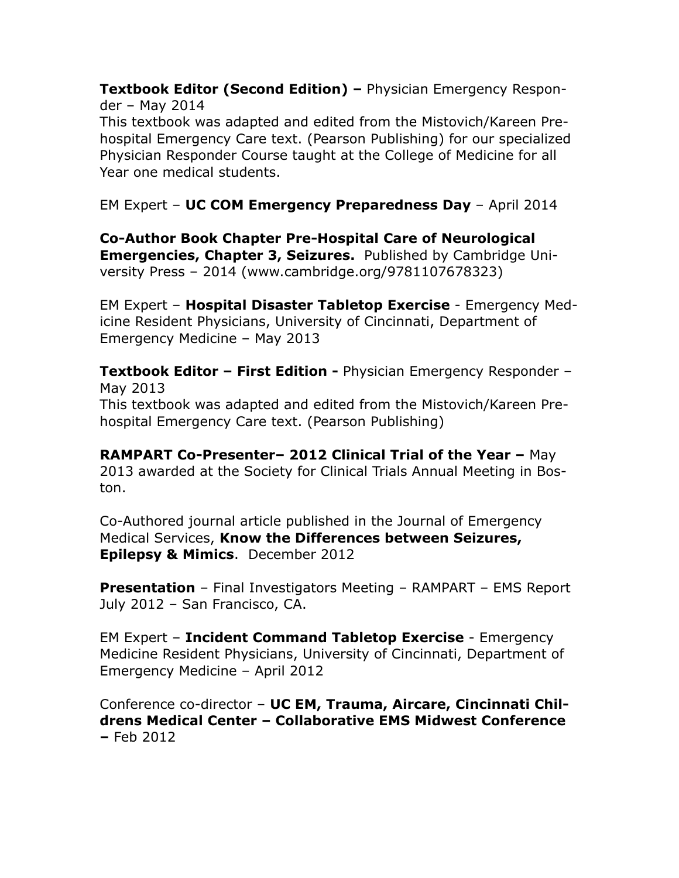**Textbook Editor (Second Edition) –** Physician Emergency Responder – May 2014

This textbook was adapted and edited from the Mistovich/Kareen Prehospital Emergency Care text. (Pearson Publishing) for our specialized Physician Responder Course taught at the College of Medicine for all Year one medical students.

EM Expert – **UC COM Emergency Preparedness Day** – April 2014

**Co-Author Book Chapter Pre-Hospital Care of Neurological Emergencies, Chapter 3, Seizures.** Published by Cambridge University Press – 2014 (www.cambridge.org/9781107678323)

EM Expert – **Hospital Disaster Tabletop Exercise** - Emergency Medicine Resident Physicians, University of Cincinnati, Department of Emergency Medicine – May 2013

**Textbook Editor – First Edition -** Physician Emergency Responder – May 2013 This textbook was adapted and edited from the Mistovich/Kareen Prehospital Emergency Care text. (Pearson Publishing)

**RAMPART Co-Presenter– 2012 Clinical Trial of the Year –** May 2013 awarded at the Society for Clinical Trials Annual Meeting in Boston.

Co-Authored journal article published in the Journal of Emergency Medical Services, **Know the Differences between Seizures, Epilepsy & Mimics**. December 2012

**Presentation** – Final Investigators Meeting – RAMPART – EMS Report July 2012 – San Francisco, CA.

EM Expert – **Incident Command Tabletop Exercise** - Emergency Medicine Resident Physicians, University of Cincinnati, Department of Emergency Medicine – April 2012

Conference co-director – **UC EM, Trauma, Aircare, Cincinnati Childrens Medical Center – Collaborative EMS Midwest Conference –** Feb 2012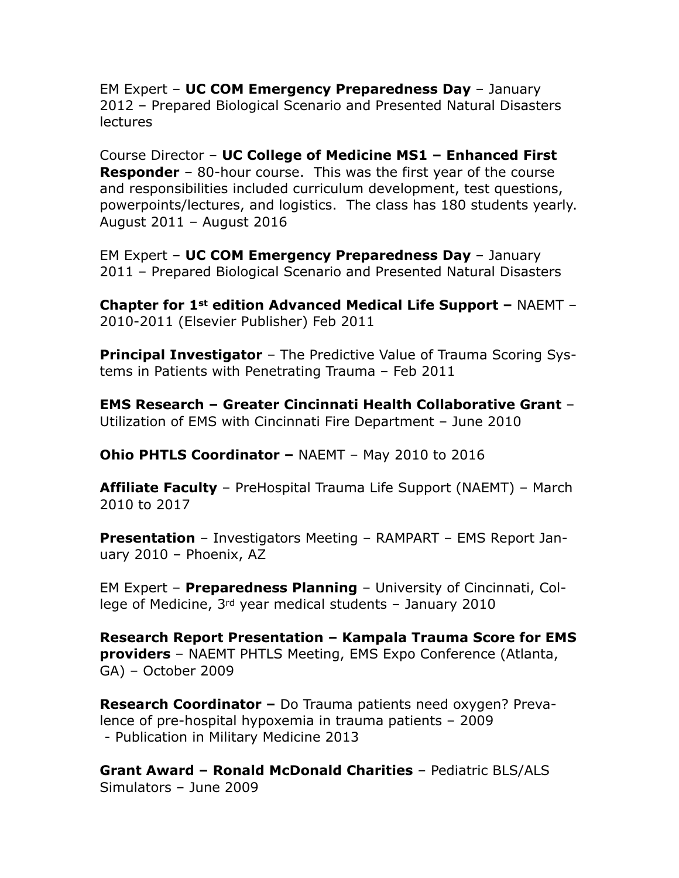EM Expert – **UC COM Emergency Preparedness Day** – January 2012 – Prepared Biological Scenario and Presented Natural Disasters lectures

Course Director – **UC College of Medicine MS1 – Enhanced First Responder** – 80-hour course. This was the first year of the course and responsibilities included curriculum development, test questions, powerpoints/lectures, and logistics. The class has 180 students yearly. August 2011 – August 2016

EM Expert – **UC COM Emergency Preparedness Day** – January 2011 – Prepared Biological Scenario and Presented Natural Disasters

**Chapter for 1st edition Advanced Medical Life Support –** NAEMT – 2010-2011 (Elsevier Publisher) Feb 2011

**Principal Investigator** – The Predictive Value of Trauma Scoring Systems in Patients with Penetrating Trauma – Feb 2011

**EMS Research – Greater Cincinnati Health Collaborative Grant** – Utilization of EMS with Cincinnati Fire Department – June 2010

**Ohio PHTLS Coordinator –** NAEMT – May 2010 to 2016

**Affiliate Faculty** – PreHospital Trauma Life Support (NAEMT) – March 2010 to 2017

**Presentation** – Investigators Meeting – RAMPART – EMS Report January 2010 – Phoenix, AZ

EM Expert – **Preparedness Planning** – University of Cincinnati, College of Medicine, 3rd year medical students – January 2010

**Research Report Presentation – Kampala Trauma Score for EMS providers** – NAEMT PHTLS Meeting, EMS Expo Conference (Atlanta, GA) – October 2009

**Research Coordinator –** Do Trauma patients need oxygen? Prevalence of pre-hospital hypoxemia in trauma patients – 2009 - Publication in Military Medicine 2013

**Grant Award – Ronald McDonald Charities** – Pediatric BLS/ALS Simulators – June 2009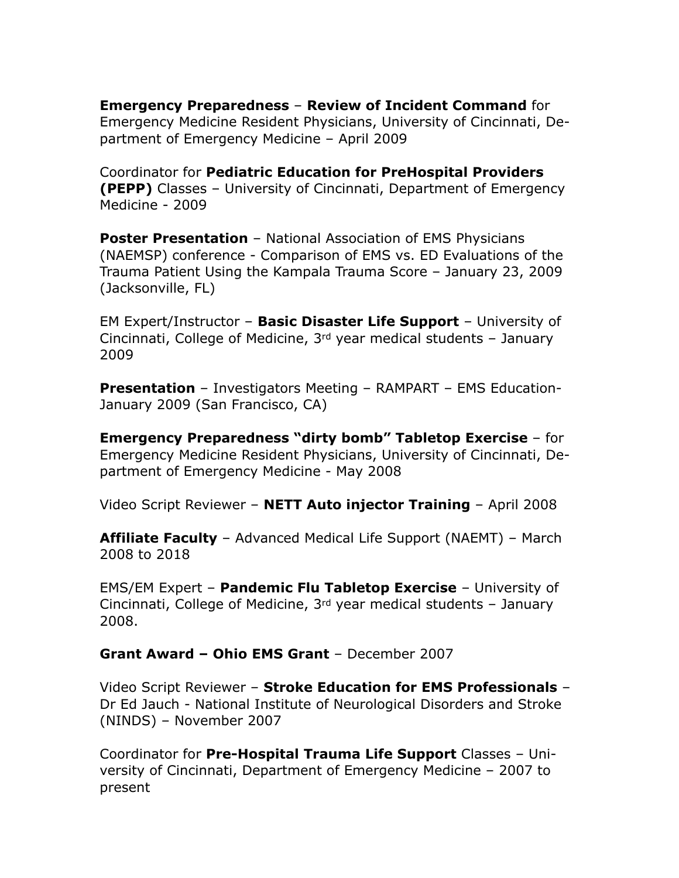**Emergency Preparedness** – **Review of Incident Command** for Emergency Medicine Resident Physicians, University of Cincinnati, Department of Emergency Medicine – April 2009

Coordinator for **Pediatric Education for PreHospital Providers (PEPP)** Classes – University of Cincinnati, Department of Emergency Medicine - 2009

**Poster Presentation** – National Association of EMS Physicians (NAEMSP) conference - Comparison of EMS vs. ED Evaluations of the Trauma Patient Using the Kampala Trauma Score – January 23, 2009 (Jacksonville, FL)

EM Expert/Instructor – **Basic Disaster Life Support** – University of Cincinnati, College of Medicine,  $3<sup>rd</sup>$  year medical students – January 2009

**Presentation** – Investigators Meeting – RAMPART – EMS Education-January 2009 (San Francisco, CA)

**Emergency Preparedness "dirty bomb" Tabletop Exercise** – for Emergency Medicine Resident Physicians, University of Cincinnati, Department of Emergency Medicine - May 2008

Video Script Reviewer – **NETT Auto injector Training** – April 2008

**Affiliate Faculty** – Advanced Medical Life Support (NAEMT) – March 2008 to 2018

EMS/EM Expert – **Pandemic Flu Tabletop Exercise** – University of Cincinnati, College of Medicine, 3rd year medical students – January 2008.

**Grant Award – Ohio EMS Grant** – December 2007

Video Script Reviewer – **Stroke Education for EMS Professionals** – Dr Ed Jauch - National Institute of Neurological Disorders and Stroke (NINDS) – November 2007

Coordinator for **Pre-Hospital Trauma Life Support** Classes – University of Cincinnati, Department of Emergency Medicine – 2007 to present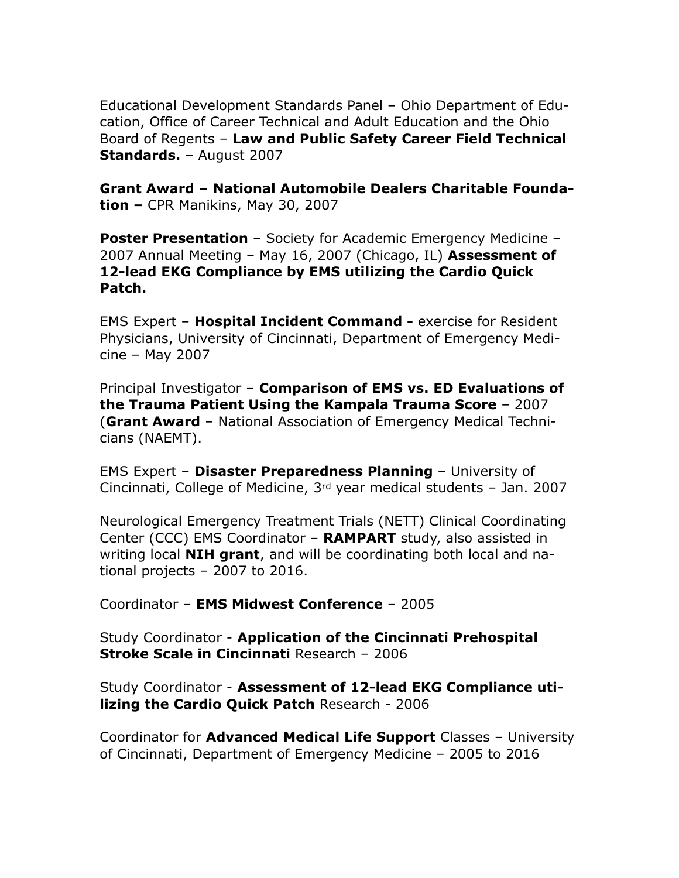Educational Development Standards Panel – Ohio Department of Education, Office of Career Technical and Adult Education and the Ohio Board of Regents – **Law and Public Safety Career Field Technical Standards.** – August 2007

**Grant Award – National Automobile Dealers Charitable Foundation –** CPR Manikins, May 30, 2007

**Poster Presentation** – Society for Academic Emergency Medicine – 2007 Annual Meeting – May 16, 2007 (Chicago, IL) **Assessment of 12-lead EKG Compliance by EMS utilizing the Cardio Quick Patch.** 

EMS Expert – **Hospital Incident Command -** exercise for Resident Physicians, University of Cincinnati, Department of Emergency Medicine – May 2007

Principal Investigator – **Comparison of EMS vs. ED Evaluations of the Trauma Patient Using the Kampala Trauma Score** – 2007 (**Grant Award** – National Association of Emergency Medical Technicians (NAEMT).

EMS Expert – **Disaster Preparedness Planning** – University of Cincinnati, College of Medicine, 3rd year medical students – Jan. 2007

Neurological Emergency Treatment Trials (NETT) Clinical Coordinating Center (CCC) EMS Coordinator – **RAMPART** study, also assisted in writing local **NIH grant**, and will be coordinating both local and national projects – 2007 to 2016.

Coordinator – **EMS Midwest Conference** – 2005

Study Coordinator - **Application of the Cincinnati Prehospital Stroke Scale in Cincinnati** Research – 2006

Study Coordinator - **Assessment of 12-lead EKG Compliance utilizing the Cardio Quick Patch** Research - 2006

Coordinator for **Advanced Medical Life Support** Classes – University of Cincinnati, Department of Emergency Medicine – 2005 to 2016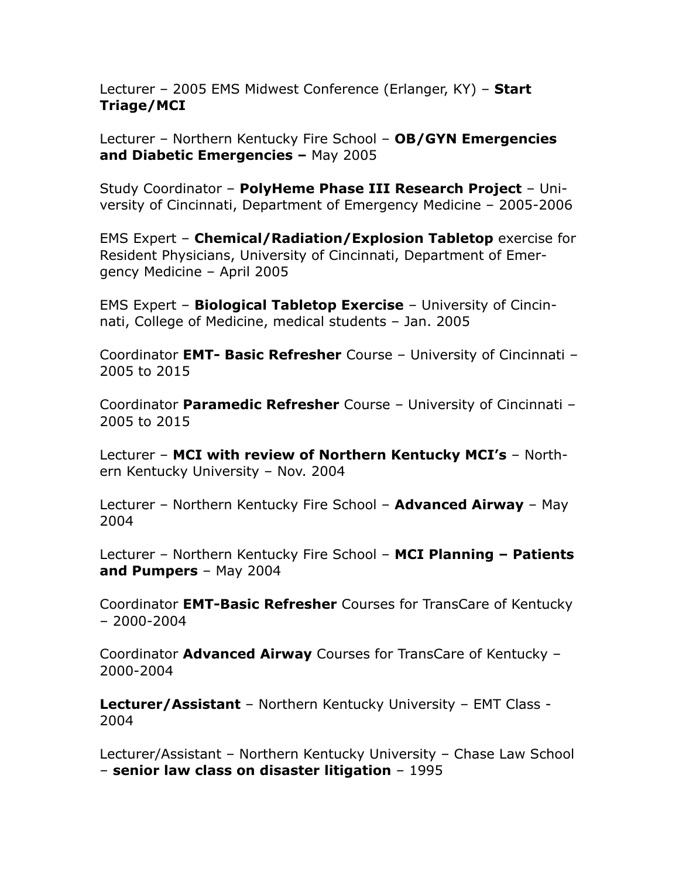Lecturer – 2005 EMS Midwest Conference (Erlanger, KY) – **Start Triage/MCI** 

Lecturer – Northern Kentucky Fire School – **OB/GYN Emergencies and Diabetic Emergencies –** May 2005

Study Coordinator – **PolyHeme Phase III Research Project** – University of Cincinnati, Department of Emergency Medicine – 2005-2006

EMS Expert – **Chemical/Radiation/Explosion Tabletop** exercise for Resident Physicians, University of Cincinnati, Department of Emergency Medicine – April 2005

EMS Expert – **Biological Tabletop Exercise** – University of Cincinnati, College of Medicine, medical students – Jan. 2005

Coordinator **EMT- Basic Refresher** Course – University of Cincinnati – 2005 to 2015

Coordinator **Paramedic Refresher** Course – University of Cincinnati – 2005 to 2015

Lecturer – **MCI with review of Northern Kentucky MCI's** – Northern Kentucky University – Nov. 2004

Lecturer – Northern Kentucky Fire School – **Advanced Airway** – May 2004

Lecturer – Northern Kentucky Fire School – **MCI Planning – Patients and Pumpers** – May 2004

Coordinator **EMT-Basic Refresher** Courses for TransCare of Kentucky – 2000-2004

Coordinator **Advanced Airway** Courses for TransCare of Kentucky – 2000-2004

**Lecturer/Assistant** – Northern Kentucky University – EMT Class - 2004

Lecturer/Assistant – Northern Kentucky University – Chase Law School – **senior law class on disaster litigation** – 1995